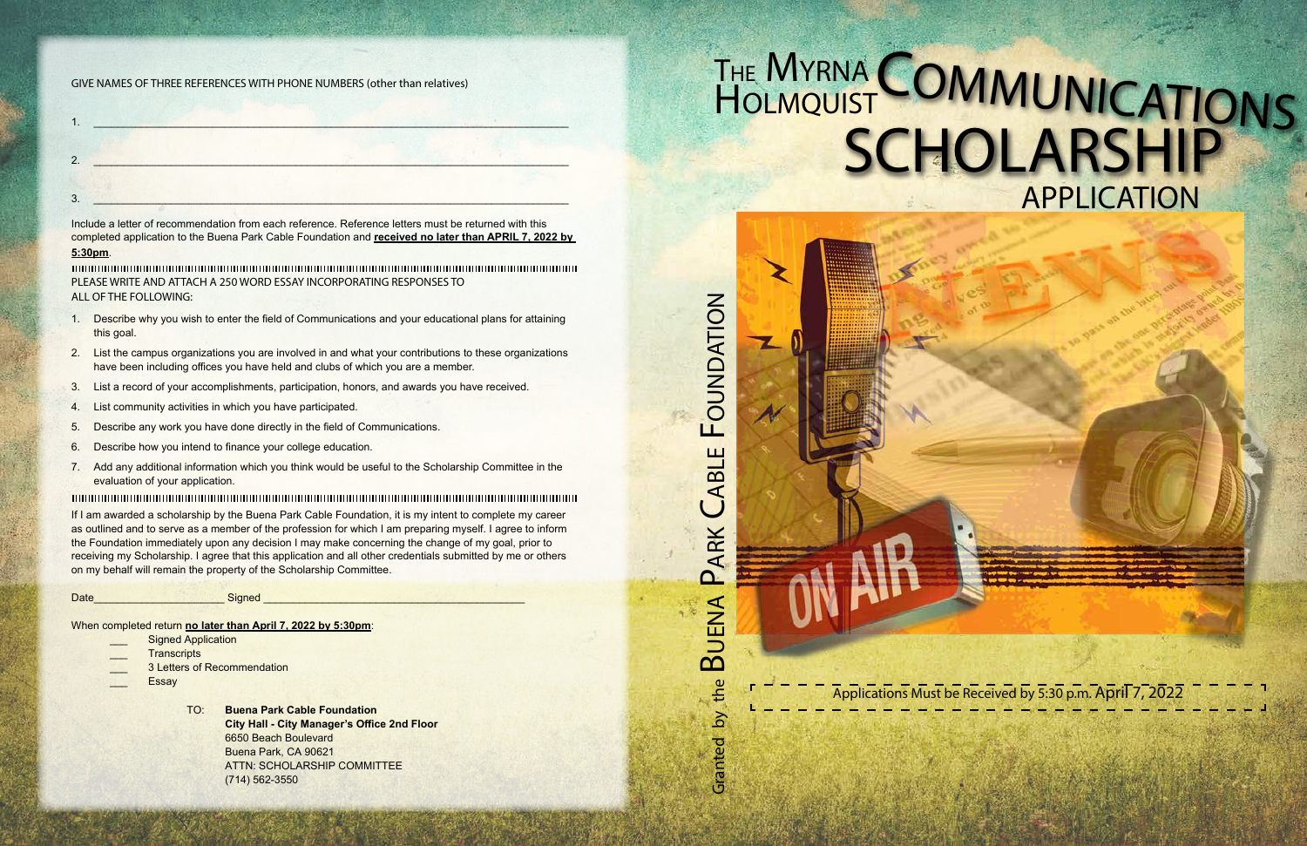Applications Must be Received by 5:30 p.m. April 7, 2022

#### GIVE NAMES OF THREE REFERENCES WITH PHONE NUMBERS (other than relatives)

| ◠<br>J. |  |
|---------|--|

Include a letter of recommendation from each reference. Reference letters must be returned with this completed application to the Buena Park Cable Foundation and **received no later than APRIL 7, 2022 by** 

#### **5:30pm**.

PLEASE WRITE AND ATTACH A 250 WORD ESSAY INCORPORATING RESPONSES TO ALL OF THE FOLLOWING:

- 1. Describe why you wish to enter the field of Communications and your educational plans for attaining this goal.
- 2. List the campus organizations you are involved in and what your contributions to these organizations have been including offices you have held and clubs of which you are a member.
- 3. List a record of your accomplishments, participation, honors, and awards you have received.
- 4. List community activities in which you have participated.
- 5. Describe any work you have done directly in the field of Communications.
- 6. Describe how you intend to finance your college education.
- 7. Add any additional information which you think would be useful to the Scholarship Committee in the evaluation of your application.

# **COMMUNICATIONS** SCHOLARSHIP APPLICATION

If I am awarded a scholarship by the Buena Park Cable Foundation, it is my intent to complete my career as outlined and to serve as a member of the profession for which I am preparing myself. I agree to inform the Foundation immediately upon any decision I may make concerning the change of my goal, prior to receiving my Scholarship. I agree that this application and all other credentials submitted by me or others on my behalf will remain the property of the Scholarship Committee.

Date\_\_\_\_\_\_\_\_\_\_\_\_\_\_\_\_\_\_\_\_\_\_ Signed \_\_\_\_\_\_\_\_\_\_\_\_\_\_\_\_\_\_\_\_\_\_\_\_\_\_\_\_\_\_\_\_\_\_\_\_\_\_\_\_\_\_\_\_

When completed return **no later than April 7, 2022 by 5:30pm**:

- Signed Application
- **Transcripts**
- 3 Letters of Recommendation
- **Essay**

 TO: **Buena Park Cable Foundation City Hall - City Manager's Office 2nd Floor** 6650 Beach Boulevard Buena Park, CA 90621 ATTN: SCHOLARSHIP COMMITTEE (714) 562-3550

FOUNDATION BLE FOUNDATION ABLE Buena Park C ARK  $\cap$ **BUENA** the Granted by the  $\delta$ Granted

THE MYRNA

**HOLMQUIST**